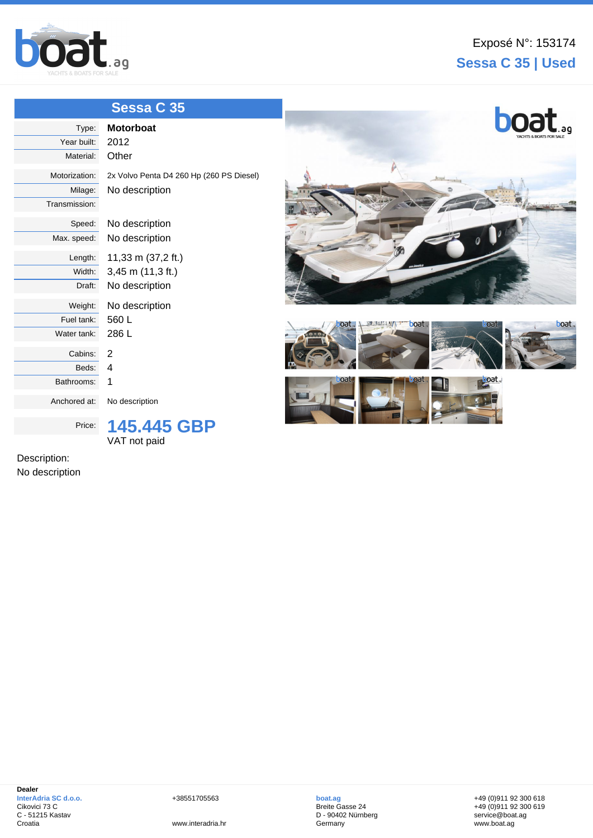

## **Sessa C 35 | Used**

|                | Sessa C 35                               |                                |
|----------------|------------------------------------------|--------------------------------|
| Type:          | <b>Motorboat</b>                         | boat.                          |
| Year built:    | 2012                                     |                                |
| Material:      | Other                                    |                                |
| Motorization:  | 2x Volvo Penta D4 260 Hp (260 PS Diesel) |                                |
| Milage:        | No description                           |                                |
| Transmission:  |                                          |                                |
| Speed:         | No description                           |                                |
| Max. speed:    | No description                           |                                |
| Length:        | 11,33 m (37,2 ft.)                       |                                |
| Width:         | 3,45 m (11,3 ft.)                        |                                |
| Draft:         | No description                           |                                |
| Weight:        | No description                           |                                |
| Fuel tank:     | 560L                                     | boat.<br>boat.<br>boat.<br>oat |
| Water tank:    | 286L                                     |                                |
| Cabins:        | $\overline{2}$                           |                                |
| Beds:          | 4                                        |                                |
| Bathrooms:     | 1                                        | oat.,                          |
| Anchored at:   | No description                           |                                |
| Price:         | 145.445 GBP                              |                                |
|                | VAT not paid                             |                                |
| Description:   |                                          |                                |
| No description |                                          |                                |

+38551705563

www.interadria.hr

**boat.ag** Breite Gasse 24 D - 90402 Nürnberg **Germany** 

+49 (0)911 92 300 618 +49 (0)911 92 300 619 service@boat.ag www.boat.ag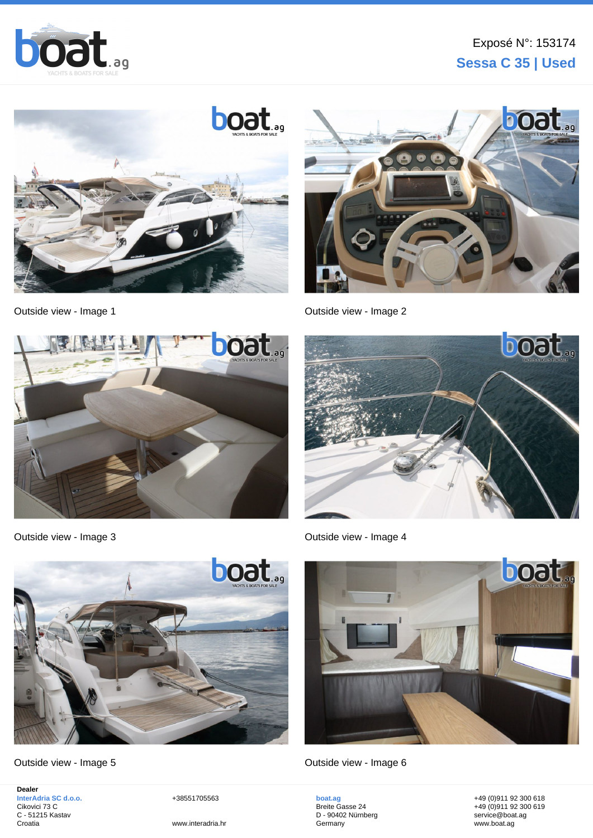





[Outside view - Image 1](http://www.boat.ag/) and 1 and 2 and 2 [Outside view - Image 2](http://www.boat.ag/?v=details&id=153174)





[Outside view - Image 3](http://www.boat.ag/) [Outside view - Image 4](http://www.boat.ag/?v=details&id=153174)



[Outside view - Image 5](http://www.boat.ag/) [Outside view - Image 6](http://www.boat.ag/?v=details&id=153174)

**Dealer InterAdria SC d.o.o.** Cikovici 73 C C - 51215 Kastav Croatia

+38551705563



**boat.ag** Breite Gasse 24 D - 90402 Nürnberg **Germany** 

+49 (0)911 92 300 618 +49 (0)911 92 300 619 service@boat.ag www.boat.ag

www.interadria.hr